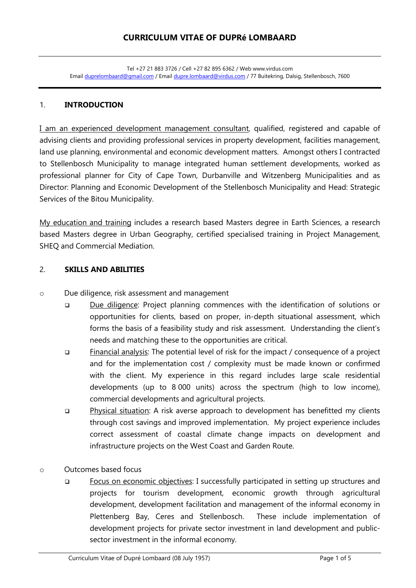#### 1. **INTRODUCTION**

I am an experienced development management consultant, qualified, registered and capable of advising clients and providing professional services in property development, facilities management, land use planning, environmental and economic development matters. Amongst others I contracted to Stellenbosch Municipality to manage integrated human settlement developments, worked as professional planner for City of Cape Town, Durbanville and Witzenberg Municipalities and as Director: Planning and Economic Development of the Stellenbosch Municipality and Head: Strategic Services of the Bitou Municipality.

My education and training includes a research based Masters degree in Earth Sciences, a research based Masters degree in Urban Geography, certified specialised training in Project Management, SHEQ and Commercial Mediation.

#### 2. **SKILLS AND ABILITIES**

- o Due diligence, risk assessment and management
	- Due diligence: Project planning commences with the identification of solutions or opportunities for clients, based on proper, in-depth situational assessment, which forms the basis of a feasibility study and risk assessment. Understanding the client's needs and matching these to the opportunities are critical.
	- Financial analysis: The potential level of risk for the impact / consequence of a project and for the implementation cost / complexity must be made known or confirmed with the client. My experience in this regard includes large scale residential developments (up to 8 000 units) across the spectrum (high to low income), commercial developments and agricultural projects.
	- Physical situation: A risk averse approach to development has benefitted my clients through cost savings and improved implementation. My project experience includes correct assessment of coastal climate change impacts on development and infrastructure projects on the West Coast and Garden Route.
- o Outcomes based focus
	- □ Focus on economic objectives: I successfully participated in setting up structures and projects for tourism development, economic growth through agricultural development, development facilitation and management of the informal economy in Plettenberg Bay, Ceres and Stellenbosch. These include implementation of development projects for private sector investment in land development and publicsector investment in the informal economy.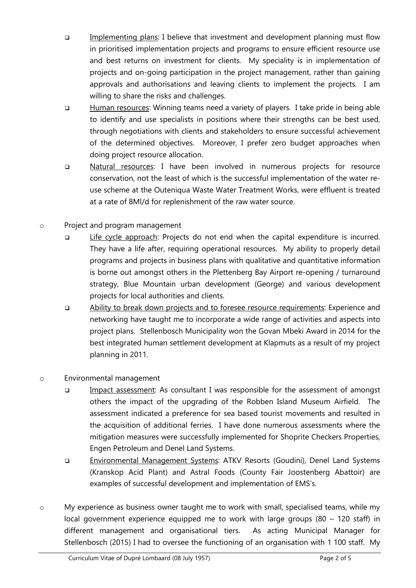- Implementing plans: I believe that investment and development planning must flow in prioritised implementation projects and programs to ensure efficient resource use and best returns on investment for clients. My speciality is in implementation of projects and on-going participation in the project management, rather than gaining approvals and authorisations and leaving clients to implement the projects. I am willing to share the risks and challenges.
- □ Human resources: Winning teams need a variety of players. I take pride in being able to identify and use specialists in positions where their strengths can be best used, through negotiations with clients and stakeholders to ensure successful achievement of the determined objectives. Moreover, I prefer zero budget approaches when doing project resource allocation.
- Natural resources: I have been involved in numerous projects for resource conservation, not the least of which is the successful implementation of the water reuse scheme at the Outeniqua Waste Water Treatment Works, were effluent is treated at a rate of 8Ml/d for replenishment of the raw water source.
- o Project and program management
	- □ Life cycle approach: Projects do not end when the capital expenditure is incurred. They have a life after, requiring operational resources. My ability to properly detail programs and projects in business plans with qualitative and quantitative information is borne out amongst others in the Plettenberg Bay Airport re-opening / turnaround strategy, Blue Mountain urban development (George) and various development projects for local authorities and clients.
	- Ability to break down projects and to foresee resource requirements: Experience and networking have taught me to incorporate a wide range of activities and aspects into project plans. Stellenbosch Municipality won the Govan Mbeki Award in 2014 for the best integrated human settlement development at Klapmuts as a result of my project planning in 2011.
- o Environmental management
	- Impact assessment: As consultant I was responsible for the assessment of amongst others the impact of the upgrading of the Robben Island Museum Airfield. The assessment indicated a preference for sea based tourist movements and resulted in the acquisition of additional ferries. I have done numerous assessments where the mitigation measures were successfully implemented for Shoprite Checkers Properties, Engen Petroleum and Denel Land Systems.
	- Environmental Management Systems: ATKV Resorts (Goudini), Denel Land Systems (Kranskop Acid Plant) and Astral Foods (County Fair Joostenberg Abattoir) are examples of successful development and implementation of EMS's.
- o My experience as business owner taught me to work with small, specialised teams, while my local government experience equipped me to work with large groups (80 – 120 staff) in different management and organisational tiers. As acting Municipal Manager for Stellenbosch (2015) I had to oversee the functioning of an organisation with 1 100 staff. My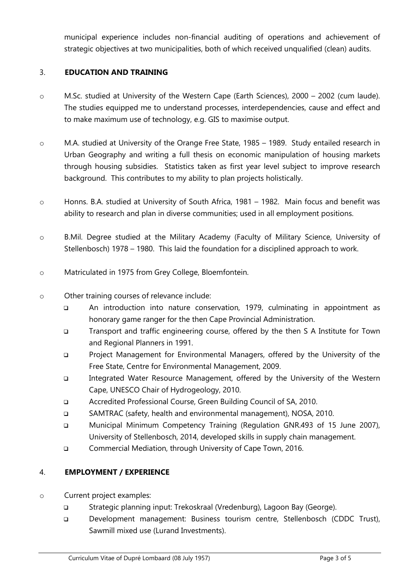municipal experience includes non-financial auditing of operations and achievement of strategic objectives at two municipalities, both of which received unqualified (clean) audits.

## 3. **EDUCATION AND TRAINING**

- o M.Sc. studied at University of the Western Cape (Earth Sciences), 2000 2002 (cum laude). The studies equipped me to understand processes, interdependencies, cause and effect and to make maximum use of technology, e.g. GIS to maximise output.
- o M.A. studied at University of the Orange Free State, 1985 1989. Study entailed research in Urban Geography and writing a full thesis on economic manipulation of housing markets through housing subsidies. Statistics taken as first year level subject to improve research background. This contributes to my ability to plan projects holistically.
- o Honns. B.A. studied at University of South Africa, 1981 1982. Main focus and benefit was ability to research and plan in diverse communities; used in all employment positions.
- o B.Mil. Degree studied at the Military Academy (Faculty of Military Science, University of Stellenbosch) 1978 – 1980. This laid the foundation for a disciplined approach to work.
- o Matriculated in 1975 from Grey College, Bloemfontein.
- o Other training courses of relevance include:
	- An introduction into nature conservation, 1979, culminating in appointment as honorary game ranger for the then Cape Provincial Administration.
	- Transport and traffic engineering course, offered by the then S A Institute for Town and Regional Planners in 1991.
	- Project Management for Environmental Managers, offered by the University of the Free State, Centre for Environmental Management, 2009.
	- Integrated Water Resource Management, offered by the University of the Western Cape, UNESCO Chair of Hydrogeology, 2010.
	- Accredited Professional Course, Green Building Council of SA, 2010.
	- SAMTRAC (safety, health and environmental management), NOSA, 2010.
	- Municipal Minimum Competency Training (Regulation GNR.493 of 15 June 2007), University of Stellenbosch, 2014, developed skills in supply chain management.
	- Commercial Mediation, through University of Cape Town, 2016.

## 4. **EMPLOYMENT / EXPERIENCE**

- o Current project examples:
	- □ Strategic planning input: Trekoskraal (Vredenburg), Lagoon Bay (George).
	- Development management: Business tourism centre, Stellenbosch (CDDC Trust), Sawmill mixed use (Lurand Investments).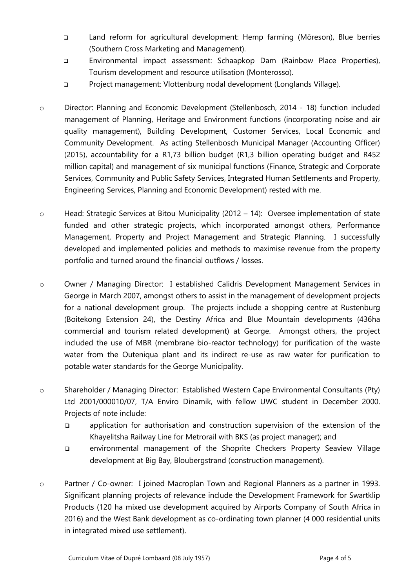- Land reform for agricultural development: Hemp farming (Môreson), Blue berries (Southern Cross Marketing and Management).
- Environmental impact assessment: Schaapkop Dam (Rainbow Place Properties), Tourism development and resource utilisation (Monterosso).
- Project management: Vlottenburg nodal development (Longlands Village).
- o Director: Planning and Economic Development (Stellenbosch, 2014 18) function included management of Planning, Heritage and Environment functions (incorporating noise and air quality management), Building Development, Customer Services, Local Economic and Community Development. As acting Stellenbosch Municipal Manager (Accounting Officer) (2015), accountability for a R1,73 billion budget (R1,3 billion operating budget and R452 million capital) and management of six municipal functions (Finance, Strategic and Corporate Services, Community and Public Safety Services, Integrated Human Settlements and Property, Engineering Services, Planning and Economic Development) rested with me.
- o Head: Strategic Services at Bitou Municipality (2012 14): Oversee implementation of state funded and other strategic projects, which incorporated amongst others, Performance Management, Property and Project Management and Strategic Planning. I successfully developed and implemented policies and methods to maximise revenue from the property portfolio and turned around the financial outflows / losses.
- o Owner / Managing Director: I established Calidris Development Management Services in George in March 2007, amongst others to assist in the management of development projects for a national development group. The projects include a shopping centre at Rustenburg (Boitekong Extension 24), the Destiny Africa and Blue Mountain developments (436ha commercial and tourism related development) at George. Amongst others, the project included the use of MBR (membrane bio-reactor technology) for purification of the waste water from the Outeniqua plant and its indirect re-use as raw water for purification to potable water standards for the George Municipality.
- o Shareholder / Managing Director: Established Western Cape Environmental Consultants (Pty) Ltd 2001/000010/07, T/A Enviro Dinamik, with fellow UWC student in December 2000. Projects of note include:
	- application for authorisation and construction supervision of the extension of the Khayelitsha Railway Line for Metrorail with BKS (as project manager); and
	- environmental management of the Shoprite Checkers Property Seaview Village development at Big Bay, Bloubergstrand (construction management).
- o Partner / Co-owner: I joined Macroplan Town and Regional Planners as a partner in 1993. Significant planning projects of relevance include the Development Framework for Swartklip Products (120 ha mixed use development acquired by Airports Company of South Africa in 2016) and the West Bank development as co-ordinating town planner (4 000 residential units in integrated mixed use settlement).